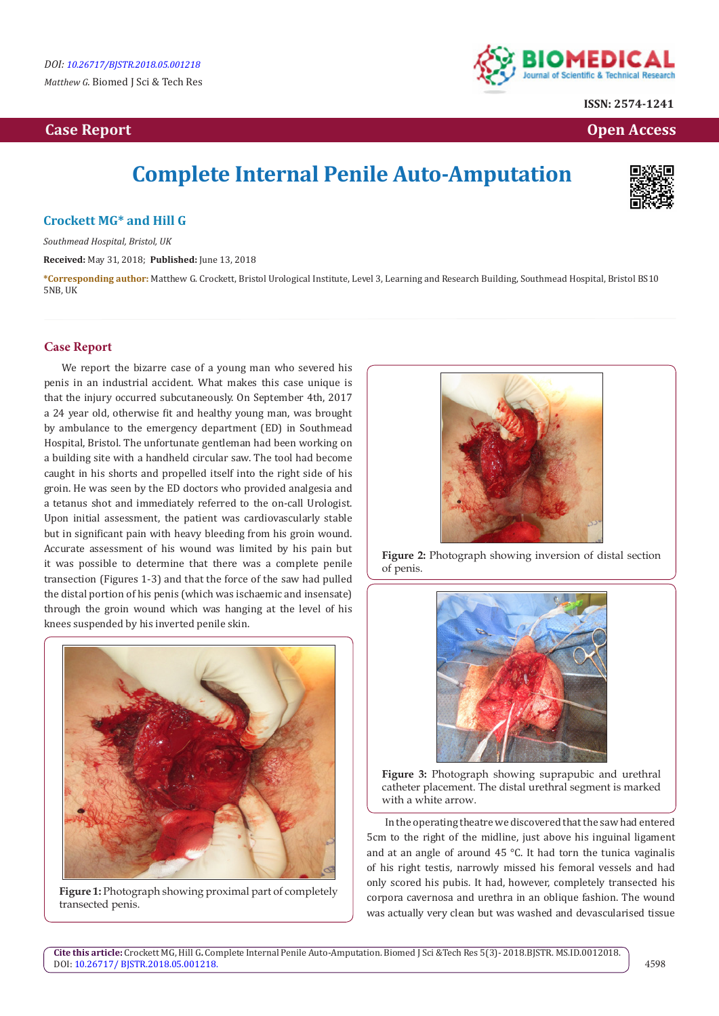## **Case Report Case Report Case Access**  $\alpha$  **Case Report** Case **Open Access Open Access**



**ISSN: 2574-1241**

# **Complete Internal Penile Auto-Amputation**



#### **Crockett MG\* and Hill G**

*Southmead Hospital, Bristol, UK*

**Received:** May 31, 2018; **Published:** June 13, 2018

**\*Corresponding author:** Matthew G. Crockett, Bristol Urological Institute, Level 3, Learning and Research Building, Southmead Hospital, Bristol BS10 5NB, UK

#### **Case Report**

We report the bizarre case of a young man who severed his penis in an industrial accident. What makes this case unique is that the injury occurred subcutaneously. On September 4th, 2017 a 24 year old, otherwise fit and healthy young man, was brought by ambulance to the emergency department (ED) in Southmead Hospital, Bristol. The unfortunate gentleman had been working on a building site with a handheld circular saw. The tool had become caught in his shorts and propelled itself into the right side of his groin. He was seen by the ED doctors who provided analgesia and a tetanus shot and immediately referred to the on-call Urologist. Upon initial assessment, the patient was cardiovascularly stable but in significant pain with heavy bleeding from his groin wound. Accurate assessment of his wound was limited by his pain but it was possible to determine that there was a complete penile transection (Figures 1-3) and that the force of the saw had pulled the distal portion of his penis (which was ischaemic and insensate) through the groin wound which was hanging at the level of his knees suspended by his inverted penile skin.



**Figure 1:** Photograph showing proximal part of completely transected penis.



**Figure 2:** Photograph showing inversion of distal section of penis.



**Figure 3:** Photograph showing suprapubic and urethral catheter placement. The distal urethral segment is marked with a white arrow.

In the operating theatre we discovered that the saw had entered 5cm to the right of the midline, just above his inguinal ligament and at an angle of around 45 °C. It had torn the tunica vaginalis of his right testis, narrowly missed his femoral vessels and had only scored his pubis. It had, however, completely transected his corpora cavernosa and urethra in an oblique fashion. The wound was actually very clean but was washed and devascularised tissue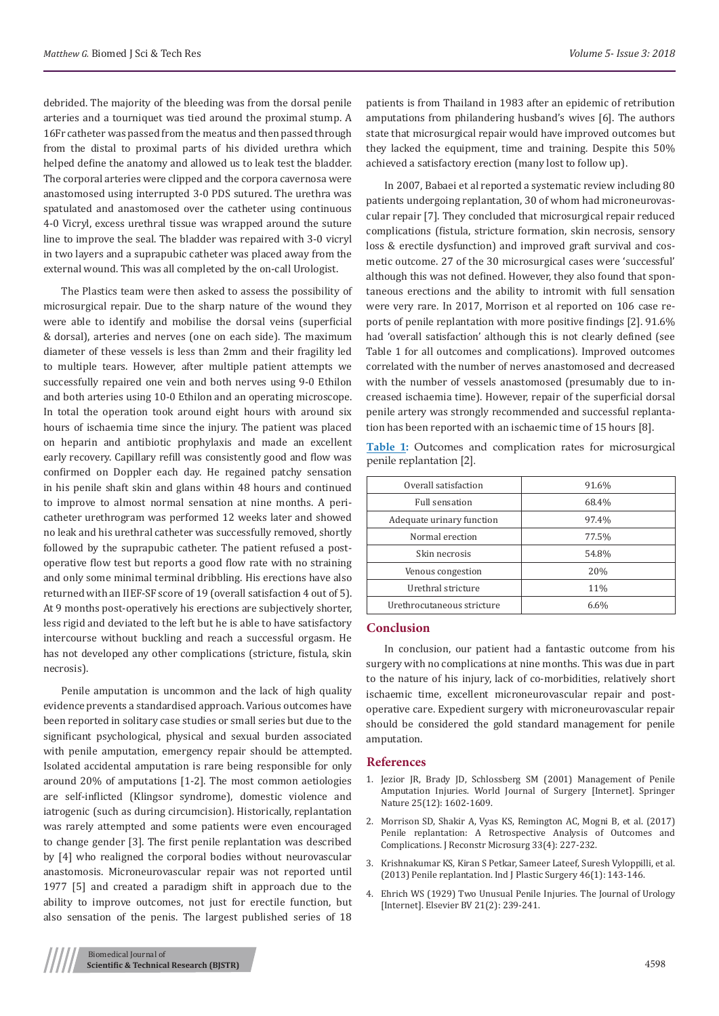debrided. The majority of the bleeding was from the dorsal penile arteries and a tourniquet was tied around the proximal stump. A 16Fr catheter was passed from the meatus and then passed through from the distal to proximal parts of his divided urethra which helped define the anatomy and allowed us to leak test the bladder. The corporal arteries were clipped and the corpora cavernosa were anastomosed using interrupted 3-0 PDS sutured. The urethra was spatulated and anastomosed over the catheter using continuous 4-0 Vicryl, excess urethral tissue was wrapped around the suture line to improve the seal. The bladder was repaired with 3-0 vicryl in two layers and a suprapubic catheter was placed away from the external wound. This was all completed by the on-call Urologist.

The Plastics team were then asked to assess the possibility of microsurgical repair. Due to the sharp nature of the wound they were able to identify and mobilise the dorsal veins (superficial & dorsal), arteries and nerves (one on each side). The maximum diameter of these vessels is less than 2mm and their fragility led to multiple tears. However, after multiple patient attempts we successfully repaired one vein and both nerves using 9-0 Ethilon and both arteries using 10-0 Ethilon and an operating microscope. In total the operation took around eight hours with around six hours of ischaemia time since the injury. The patient was placed on heparin and antibiotic prophylaxis and made an excellent early recovery. Capillary refill was consistently good and flow was confirmed on Doppler each day. He regained patchy sensation in his penile shaft skin and glans within 48 hours and continued to improve to almost normal sensation at nine months. A pericatheter urethrogram was performed 12 weeks later and showed no leak and his urethral catheter was successfully removed, shortly followed by the suprapubic catheter. The patient refused a postoperative flow test but reports a good flow rate with no straining and only some minimal terminal dribbling. His erections have also returned with an IIEF-SF score of 19 (overall satisfaction 4 out of 5). At 9 months post-operatively his erections are subjectively shorter, less rigid and deviated to the left but he is able to have satisfactory intercourse without buckling and reach a successful orgasm. He has not developed any other complications (stricture, fistula, skin necrosis).

Penile amputation is uncommon and the lack of high quality evidence prevents a standardised approach. Various outcomes have been reported in solitary case studies or small series but due to the significant psychological, physical and sexual burden associated with penile amputation, emergency repair should be attempted. Isolated accidental amputation is rare being responsible for only around 20% of amputations [1-2]. The most common aetiologies are self-inflicted (Klingsor syndrome), domestic violence and iatrogenic (such as during circumcision). Historically, replantation was rarely attempted and some patients were even encouraged to change gender [3]. The first penile replantation was described by [4] who realigned the corporal bodies without neurovascular anastomosis. Microneurovascular repair was not reported until 1977 [5] and created a paradigm shift in approach due to the ability to improve outcomes, not just for erectile function, but also sensation of the penis. The largest published series of 18

patients is from Thailand in 1983 after an epidemic of retribution amputations from philandering husband's wives [6]. The authors state that microsurgical repair would have improved outcomes but they lacked the equipment, time and training. Despite this 50% achieved a satisfactory erection (many lost to follow up).

In 2007, Babaei et al reported a systematic review including 80 patients undergoing replantation, 30 of whom had microneurovascular repair [7]. They concluded that microsurgical repair reduced complications (fistula, stricture formation, skin necrosis, sensory loss & erectile dysfunction) and improved graft survival and cosmetic outcome. 27 of the 30 microsurgical cases were 'successful' although this was not defined. However, they also found that spontaneous erections and the ability to intromit with full sensation were very rare. In 2017, Morrison et al reported on 106 case reports of penile replantation with more positive findings [2]. 91.6% had 'overall satisfaction' although this is not clearly defined (see Table 1 for all outcomes and complications). Improved outcomes correlated with the number of nerves anastomosed and decreased with the number of vessels anastomosed (presumably due to increased ischaemia time). However, repair of the superficial dorsal penile artery was strongly recommended and successful replantation has been reported with an ischaemic time of 15 hours [8].

**Table 1:** Outcomes and complication rates for microsurgical penile replantation [2].

| Overall satisfaction       | 91.6% |
|----------------------------|-------|
| Full sensation             | 68.4% |
| Adequate urinary function  | 97.4% |
| Normal erection            | 77.5% |
| Skin necrosis              | 54.8% |
| Venous congestion          | 20%   |
| Urethral stricture         | 11%   |
| Urethrocutaneous stricture | 6.6%  |
|                            |       |

### **Conclusion**

In conclusion, our patient had a fantastic outcome from his surgery with no complications at nine months. This was due in part to the nature of his injury, lack of co-morbidities, relatively short ischaemic time, excellent microneurovascular repair and postoperative care. Expedient surgery with microneurovascular repair should be considered the gold standard management for penile amputation.

#### **References**

- 1. [Jezior JR, Brady JD, Schlossberg SM \(2001\) Management of Penile](https://link.springer.com/article/10.1007%2Fs00268-001-0157-6) [Amputation Injuries. World Journal of Surgery \[Internet\]. Springer](https://link.springer.com/article/10.1007%2Fs00268-001-0157-6) [Nature 25\(12\): 1602-1609.](https://link.springer.com/article/10.1007%2Fs00268-001-0157-6)
- 2. [Morrison SD, Shakir A, Vyas KS, Remington AC, Mogni B, et al. \(2017\)](https://www.ncbi.nlm.nih.gov/pubmed/28002849) [Penile replantation: A Retrospective Analysis of Outcomes and](https://www.ncbi.nlm.nih.gov/pubmed/28002849) [Complications. J Reconstr Microsurg 33\(4\): 227-232.](https://www.ncbi.nlm.nih.gov/pubmed/28002849)
- 3. [Krishnakumar KS, Kiran S Petkar, Sameer Lateef, Suresh Vyloppilli, et al.](https://www.ncbi.nlm.nih.gov/pmc/articles/PMC3745104/) [\(2013\) Penile replantation. Ind J Plastic Surgery 46\(1\): 143-146.](https://www.ncbi.nlm.nih.gov/pmc/articles/PMC3745104/)
- 4. [Ehrich WS \(1929\) Two Unusual Penile Injuries. The Journal of Urology](https://www.sciencedirect.com/science/article/pii/S0022534717730984?via%3Dihub) [\[Internet\]. Elsevier BV 21\(2\): 239-241.](https://www.sciencedirect.com/science/article/pii/S0022534717730984?via%3Dihub)